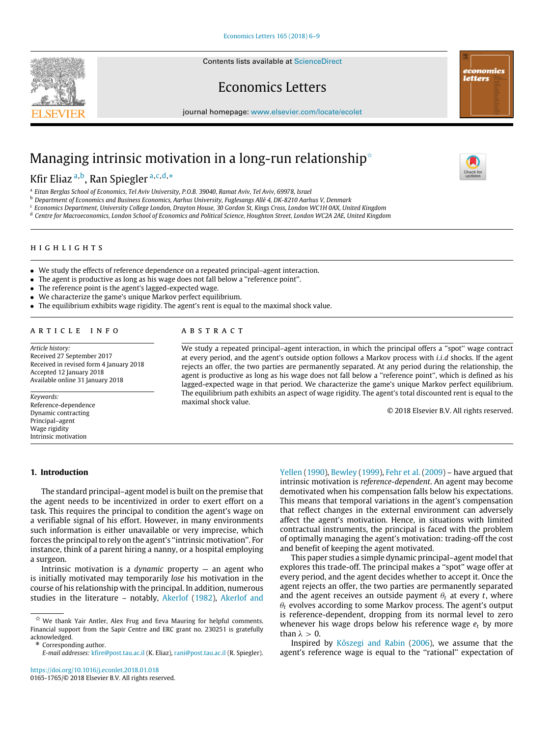#### [Economics Letters 165 \(2018\) 6–9](https://doi.org/10.1016/j.econlet.2018.01.018)

Contents lists available at [ScienceDirect](http://www.elsevier.com/locate/ecolet)

# Economics Letters

journal homepage: [www.elsevier.com/locate/ecolet](http://www.elsevier.com/locate/ecolet)

# Managing intrinsic motivation in a long-run relationship<sup> $\star$ </sup>

# Kfir Eliaz <sup>[a,](#page-0-1)[b](#page-0-2)</sup>, Ran Spiegler <sup>a,[c](#page-0-3)[,d,](#page-0-4)</sup>[\\*](#page-0-5)

<span id="page-0-1"></span>a *Eitan Berglas School of Economics, Tel Aviv University, P.O.B. 39040, Ramat Aviv, Tel Aviv, 69978, Israel*

<span id="page-0-2"></span><sup>b</sup> *Department of Economics and Business Economics, Aarhus University, Fuglesangs Allé 4, DK-8210 Aarhus V, Denmark*

<span id="page-0-3"></span>c *Economics Department, University College London, Drayton House, 30 Gordon St, Kings Cross, London WC1H 0AX, United Kingdom*

<span id="page-0-4"></span><sup>d</sup> *Centre for Macroeconomics, London School of Economics and Political Science, Houghton Street, London WC2A 2AE, United Kingdom*

# h i g h l i g h t s

- We study the effects of reference dependence on a repeated principal–agent interaction.
- The agent is productive as long as his wage does not fall below a ''reference point''.
- The reference point is the agent's lagged-expected wage.
- We characterize the game's unique Markov perfect equilibrium.
- The equilibrium exhibits wage rigidity. The agent's rent is equal to the maximal shock value.

# a r t i c l e i n f o

*Article history:* Received 27 September 2017 Received in revised form 4 January 2018 Accepted 12 January 2018 Available online 31 January 2018

*Keywords:* Reference-dependence Dynamic contracting Principal–agent Wage rigidity Intrinsic motivation

#### **1. Introduction**

The standard principal–agent model is built on the premise that the agent needs to be incentivized in order to exert effort on a task. This requires the principal to condition the agent's wage on a verifiable signal of his effort. However, in many environments such information is either unavailable or very imprecise, which forces the principal to rely on the agent's ''intrinsic motivation''. For instance, think of a parent hiring a nanny, or a hospital employing a surgeon.

Intrinsic motivation is a *dynamic* property — an agent who is initially motivated may temporarily *lose* his motivation in the course of his relationship with the principal. In addition, numerous studies in the literature – notably, [Akerlof](#page-3-0) [\(1982\)](#page-3-0), [Akerlof](#page-3-1) [and](#page-3-1)

<https://doi.org/10.1016/j.econlet.2018.01.018> 0165-1765/© 2018 Elsevier B.V. All rights reserved.

# a b s t r a c t

We study a repeated principal–agent interaction, in which the principal offers a ''spot'' wage contract at every period, and the agent's outside option follows a Markov process with *i*.*i*.*d* shocks. If the agent rejects an offer, the two parties are permanently separated. At any period during the relationship, the agent is productive as long as his wage does not fall below a ''reference point'', which is defined as his lagged-expected wage in that period. We characterize the game's unique Markov perfect equilibrium. The equilibrium path exhibits an aspect of wage rigidity. The agent's total discounted rent is equal to the maximal shock value.

© 2018 Elsevier B.V. All rights reserved.

[Yellen](#page-3-1) [\(1990\)](#page-3-1), [Bewley](#page-3-2) [\(1999\)](#page-3-2), [Fehr](#page-3-3) [et](#page-3-3) [al.](#page-3-3) [\(2009\)](#page-3-3) – have argued that intrinsic motivation is *reference-dependent*. An agent may become demotivated when his compensation falls below his expectations. This means that temporal variations in the agent's compensation that reflect changes in the external environment can adversely affect the agent's motivation. Hence, in situations with limited contractual instruments, the principal is faced with the problem of optimally managing the agent's motivation: trading-off the cost and benefit of keeping the agent motivated.

This paper studies a simple dynamic principal–agent model that explores this trade-off. The principal makes a ''spot'' wage offer at every period, and the agent decides whether to accept it. Once the agent rejects an offer, the two parties are permanently separated and the agent receives an outside payment  $\theta_t$  at every *t*, where θ*<sup>t</sup>* evolves according to some Markov process. The agent's output is reference-dependent, dropping from its normal level to zero whenever his wage drops below his reference wage *e<sup>t</sup>* by more than  $\lambda > 0$ .

Inspired by [Kőszegi](#page-3-4) [and](#page-3-4) [Rabin](#page-3-4) [\(2006\)](#page-3-4), we assume that the agent's reference wage is equal to the ''rational'' expectation of







<span id="page-0-0"></span> $\overrightarrow{x}$  We thank Yair Antler, Alex Frug and Eeva Mauring for helpful comments. Financial support from the Sapir Centre and ERC grant no. 230251 is gratefully acknowledged.

<span id="page-0-5"></span><sup>\*</sup> Corresponding author.

*E-mail addresses:* [kfire@post.tau.ac.il](mailto:kfire@post.tau.ac.il) (K. Eliaz), [rani@post.tau.ac.il](mailto:rani@post.tau.ac.il) (R. Spiegler).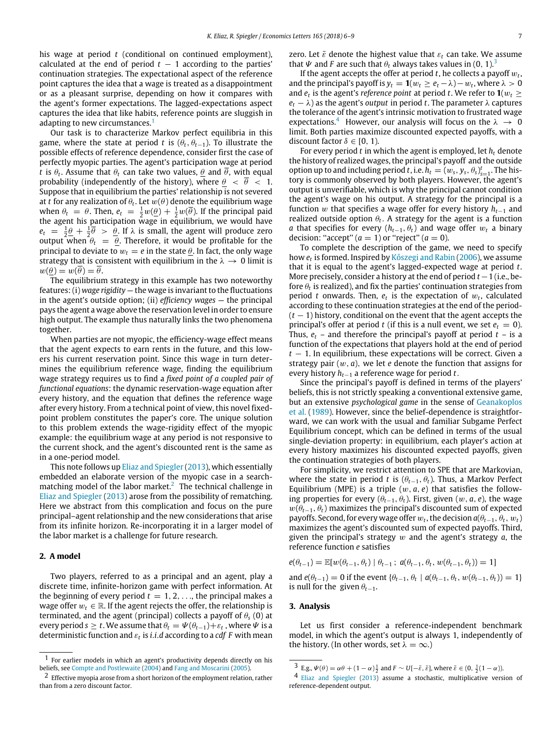his wage at period *t* (conditional on continued employment), calculated at the end of period  $t - 1$  according to the parties' continuation strategies. The expectational aspect of the reference point captures the idea that a wage is treated as a disappointment or as a pleasant surprise, depending on how it compares with the agent's former expectations. The lagged-expectations aspect captures the idea that like habits, reference points are sluggish in adapting to new circumstances.<sup>[1](#page-1-0)</sup>

Our task is to characterize Markov perfect equilibria in this game, where the state at period *t* is  $(\theta_t, \theta_{t-1})$ . To illustrate the possible effects of reference dependence, consider first the case of perfectly myopic parties. The agent's participation wage at period *t* is  $\theta_t$ . Assume that  $\theta_t$  can take two values,  $\underline{\theta}$  and  $\theta$ , with equal probability (independently of the history), where  $\theta \leq \theta \leq 1$ . Suppose that in equilibrium the parties' relationship is not severed at  $t$  for any realization of  $\theta_t.$  Let  $w(\theta)$  denote the equilibrium wage when  $\theta_t = \theta$ . Then,  $e_t = \frac{1}{2}w(\theta) + \frac{1}{2}w(\overline{\theta})$ . If the principal paid the agent his participation wage in equilibrium, we would have  $e_t = \frac{1}{2}\theta + \frac{1}{2}\theta > \theta$ . If  $\lambda$  is small, the agent will produce zero output when  $\theta_t = \theta$ . Therefore, it would be profitable for the principal to deviate to  $w_t = e$  in the state  $\theta$ . In fact, the only wage strategy that is consistent with equilibrium in the  $\lambda \rightarrow 0$  limit is  $w(\theta) = w(\overline{\theta}) = \overline{\theta}.$ 

The equilibrium strategy in this example has two noteworthy features: (i) *wage rigidity* — the wage is invariant to the fluctuations in the agent's outside option; (ii) *efficiency wages* — the principal pays the agent a wage above the reservation level in order to ensure high output. The example thus naturally links the two phenomena together.

When parties are not myopic, the efficiency-wage effect means that the agent expects to earn rents in the future, and this lowers his current reservation point. Since this wage in turn determines the equilibrium reference wage, finding the equilibrium wage strategy requires us to find a *fixed point of a coupled pair of functional equations*: the dynamic reservation-wage equation after every history, and the equation that defines the reference wage after every history. From a technical point of view, this novel fixedpoint problem constitutes the paper's core. The unique solution to this problem extends the wage-rigidity effect of the myopic example: the equilibrium wage at any period is not responsive to the current shock, and the agent's discounted rent is the same as in a one-period model.

This note follows up [Eliaz](#page-3-5) [and](#page-3-5) [Spiegler](#page-3-5) [\(2013\)](#page-3-5), which essentially embedded an elaborate version of the myopic case in a search-matching model of the labor market.<sup>[2](#page-1-1)</sup> The technical challenge in [Eliaz](#page-3-5) [and](#page-3-5) [Spiegler](#page-3-5) [\(2013\)](#page-3-5) arose from the possibility of rematching. Here we abstract from this complication and focus on the pure principal–agent relationship and the new considerations that arise from its infinite horizon. Re-incorporating it in a larger model of the labor market is a challenge for future research.

# **2. A model**

Two players, referred to as a principal and an agent, play a discrete time, infinite-horizon game with perfect information. At the beginning of every period  $t = 1, 2, \ldots$ , the principal makes a wage offer  $w_t \in \mathbb{R}$ . If the agent rejects the offer, the relationship is terminated, and the agent (principal) collects a payoff of θ*<sup>s</sup>* (0) at every period  $s \geq t$ . We assume that  $\theta_t = \Psi(\theta_{t-1}) + \varepsilon_t$  , where  $\Psi$  is a deterministic function and ε*<sup>t</sup>* is *i*.*i*.*d* according to a *cdf F* with mean

zero. Let  $\bar{\varepsilon}$  denote the highest value that  $\varepsilon_t$  can take. We assume that  $\Psi$  and *F* are such that  $\theta_t$  always takes values in (0, 1).<sup>[3](#page-1-2)</sup>

If the agent accepts the offer at period  $t$ , he collects a payoff  $w_t$ , and the principal's payoff is  $y_t = 1(w_t \ge e_t - \lambda) - w_t$ , where  $\lambda > 0$ and  $e_t$  is the agent's *reference point* at period *t*. We refer to  $\mathbf{1}(w_t \geq 0)$  $e_t - \lambda$ ) as the agent's *output* in period *t*. The parameter  $\lambda$  captures the tolerance of the agent's intrinsic motivation to frustrated wage expectations.<sup>[4](#page-1-3)</sup> However, our analysis will focus on the  $\lambda \rightarrow 0$ limit. Both parties maximize discounted expected payoffs, with a discount factor  $\delta \in [0, 1)$ .

For every period  $t$  in which the agent is employed, let  $h_t$  denote the history of realized wages, the principal's payoff and the outside option up to and including period *t*, i.e.  $h_t = (w_s, y_s, \theta_s)_{s=1}^t$ . The history is commonly observed by both players. However, the agent's output is unverifiable, which is why the principal cannot condition the agent's wage on his output. A strategy for the principal is a function w that specifies a wage offer for every history *ht*−<sup>1</sup> and realized outside option  $\theta_t$ . A strategy for the agent is a function *a* that specifies for every ( $h$ <sub>*t*−1</sub>,  $\theta$ <sup>*t*</sup>) and wage offer  $w$ <sup>*t*</sup> a binary decision: "accept"  $(a = 1)$  or "reject"  $(a = 0)$ .

To complete the description of the game, we need to specify how *e<sup>t</sup>* is formed. Inspired by [Kőszegi](#page-3-4) [and](#page-3-4) [Rabin](#page-3-4) [\(2006\)](#page-3-4), we assume that it is equal to the agent's lagged-expected wage at period *t*. More precisely, consider a history at the end of period *t*−1 (i.e., before  $\theta_t$  is realized), and fix the parties' continuation strategies from period *t* onwards. Then,  $e_t$  is the expectation of  $w_t$ , calculated according to these continuation strategies at the end of the period-  $(t-1)$  history, conditional on the event that the agent accepts the principal's offer at period *t* (if this is a null event, we set  $e_t = 0$ ). Thus,  $e_t$  – and therefore the principal's payoff at period  $t$  – is a function of the expectations that players hold at the end of period *t* − 1. In equilibrium, these expectations will be correct. Given a strategy pair (w, *a*), we let *e* denote the function that assigns for every history *ht*−<sup>1</sup> a reference wage for period *t*.

Since the principal's payoff is defined in terms of the players' beliefs, this is not strictly speaking a conventional extensive game, but an extensive *psychological game* in the sense of [Geanakoplos](#page-3-8) [et](#page-3-8) [al.](#page-3-8) [\(1989\)](#page-3-8). However, since the belief-dependence is straightforward, we can work with the usual and familiar Subgame Perfect Equilibrium concept, which can be defined in terms of the usual single-deviation property: in equilibrium, each player's action at every history maximizes his discounted expected payoffs, given the continuation strategies of both players.

For simplicity, we restrict attention to SPE that are Markovian, where the state in period *t* is  $(\theta_{t-1}, \theta_t)$ . Thus, a Markov Perfect Equilibrium (MPE) is a triple  $(w, a, e)$  that satisfies the following properties for every ( $\theta_{t-1}, \theta_t$ ). First, given (w, *a*, *e*), the wage w(θ*t*−1, θ*t*) maximizes the principal's discounted sum of expected payoffs. Second, for every wage offer  $w_t$ , the decision  $a(\theta_{t-1}, \theta_t, w_t)$ maximizes the agent's discounted sum of expected payoffs. Third, given the principal's strategy w and the agent's strategy *a*, the reference function *e* satisfies

 $e(\theta_{t-1}) = \mathbb{E}[w(\theta_{t-1}, \theta_t) | \theta_{t-1}; a(\theta_{t-1}, \theta_t, w(\theta_{t-1}, \theta_t)) = 1]$ 

and  $e(\theta_{t-1}) = 0$  if the event { $\theta_{t-1}, \theta_t \mid a(\theta_{t-1}, \theta_t, w(\theta_{t-1}, \theta_t)) = 1$ } is null for the given  $\theta_{t-1}$ .

# **3. Analysis**

Let us first consider a reference-independent benchmark model, in which the agent's output is always 1, independently of the history. (In other words, set  $\lambda = \infty$ .)

<span id="page-1-0"></span><sup>1</sup> For earlier models in which an agent's productivity depends directly on his beliefs, see [Compte](#page-3-6) [and](#page-3-6) [Postlewaite](#page-3-6) [\(2004\)](#page-3-6) and [Fang](#page-3-7) [and](#page-3-7) [Moscarini](#page-3-7) [\(2005\)](#page-3-7).

<span id="page-1-1"></span><sup>2</sup> Effective myopia arose from a short horizon of the employment relation, rather than from a zero discount factor.

<span id="page-1-2"></span> $\frac{3}{2}$  E.g.,  $\Psi(\theta) = \alpha\theta + (1-\alpha)\frac{1}{2}$  and  $F \sim U[-\bar{\varepsilon}, \bar{\varepsilon}]$ , where  $\bar{\varepsilon} \in (0, \frac{1}{2}(1-\alpha))$ .

<span id="page-1-3"></span><sup>4</sup> [Eliaz](#page-3-5) [and](#page-3-5) [Spiegler](#page-3-5) [\(2013\)](#page-3-5) assume a stochastic, multiplicative version of reference-dependent output.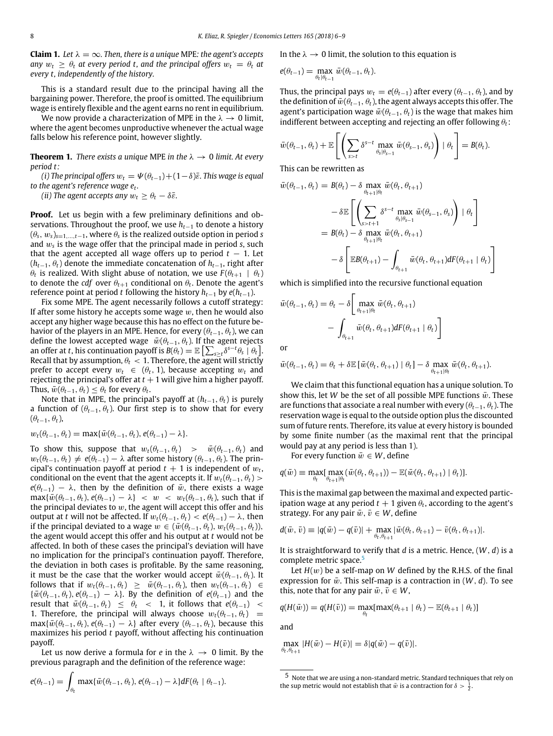**Claim 1.** Let  $\lambda = \infty$ . Then, there is a unique MPE: the agent's accepts *any*  $w_t > \theta_t$  *at every period t, and the principal offers*  $w_t = \theta_t$  *at every t, independently of the history.*

This is a standard result due to the principal having all the bargaining power. Therefore, the proof is omitted. The equilibrium wage is entirely flexible and the agent earns no rent in equilibrium.

We now provide a characterization of MPE in the  $\lambda \rightarrow 0$  limit, where the agent becomes unproductive whenever the actual wage falls below his reference point, however slightly.

**Theorem 1.** *There exists a unique* MPE *in the*  $\lambda \rightarrow 0$  *limit. At every period t :*

*(i)* The principal offers  $w_t = \Psi(\theta_{t-1}) + (1-\delta)\bar{\varepsilon}$ . This wage is equal *to the agent's reference wage e<sup>t</sup> .*

*(ii)* The agent accepts any  $w_t \geq \theta_t - \delta \bar{\varepsilon}$ .

**Proof.** Let us begin with a few preliminary definitions and observations. Throughout the proof, we use  $h$ <sub>t−1</sub> to denote a history (θ*s*, w*s*)*s*=1,...,*t*−1, where θ*<sup>s</sup>* is the realized outside option in period *s* and w*<sup>s</sup>* is the wage offer that the principal made in period *s*, such that the agent accepted all wage offers up to period  $t - 1$ . Let  $(h_{t-1}, \theta_t)$  denote the immediate concatenation of  $h_{t-1}$ , right after  $\theta_t$  is realized. With slight abuse of notation, we use  $F(\theta_{t+1} \mid \theta_t)$ to denote the  $cdf$  over  $\theta_{t+1}$  conditional on  $\theta_t.$  Denote the agent's reference point at period *t* following the history  $h_{t-1}$  by  $e(h_{t-1})$ .

Fix some MPE. The agent necessarily follows a cutoff strategy: If after some history he accepts some wage  $w$ , then he would also accept any higher wage because this has no effect on the future behavior of the players in an MPE. Hence, for every (θ*t*−1, θ*t*), we can define the lowest accepted wage  $\bar{w}(\theta_{t-1}, \theta_t)$ . If the agent rejects an offer at *t*, his continuation payoff is  $B(\theta_t) = \mathbb{E}\left[\sum_{s\geq t} \delta^{s-t}\theta_s \mid \theta_t\right]$ . Recall that by assumption,  $\theta_t < 1$ . Therefore, the agent will strictly prefer to accept every  $w_t \in (\theta_t, 1)$ , because accepting  $w_t$  and rejecting the principal's offer at  $t + 1$  will give him a higher payoff. Thus,  $\bar{w}(\theta_{t-1}, \theta_t) \leq \theta_t$  for every  $\theta_t$ .

Note that in MPE, the principal's payoff at  $(h_{t-1}, \theta_t)$  is purely a function of  $(\theta_{t-1}, \theta_t)$ . Our first step is to show that for every  $(\theta_{t-1}, \theta_t)$ ,

$$
w_t(\theta_{t-1}, \theta_t) = \max{\lbrace \bar{w}(\theta_{t-1}, \theta_t), \, e(\theta_{t-1}) - \lambda \rbrace}.
$$

To show this, suppose that  $w_t(\theta_{t-1}, \theta_t) > \bar{w}(\theta_{t-1}, \theta_t)$  and  $w_t(\theta_{t-1}, \theta_t) \neq e(\theta_{t-1}) - \lambda$  after some history ( $\theta_{t-1}, \theta_t$ ). The principal's continuation payoff at period  $t + 1$  is independent of  $w_t$ , conditional on the event that the agent accepts it. If  $w_t(\theta_{t-1}, \theta_t)$  >  $e(\theta_{t-1}) - \lambda$ , then by the definition of  $\bar{w}$ , there exists a wage  $\max{\{\bar{w}(\theta_{t-1}, \theta_t), e(\theta_{t-1}) - \lambda\}} < w < w_t(\theta_{t-1}, \theta_t)$ , such that if the principal deviates to  $w$ , the agent will accept this offer and his output at *t* will not be affected. If  $w_t(\theta_{t-1}, \theta_t) < e(\theta_{t-1}) - \lambda$ , then if the principal deviated to a wage  $w \in (\bar{w}(\theta_{t-1}, \theta_t), w_t(\theta_{t-1}, \theta_t)),$ the agent would accept this offer and his output at *t* would not be affected. In both of these cases the principal's deviation will have no implication for the principal's continuation payoff. Therefore, the deviation in both cases is profitable. By the same reasoning, it must be the case that the worker would accept  $\bar{w}(\theta_{t-1}, \theta_t)$ . It follows that if  $w_t(\theta_{t-1}, \theta_t) \geq \bar{w}(\theta_{t-1}, \theta_t)$ , then  $w_t(\theta_{t-1}, \theta_t) \in$  ${\lbrace \bar{w}(\theta_{t-1}, \theta_t), \epsilon(\theta_{t-1}) - \lambda \rbrace}$ . By the definition of  $\epsilon(\theta_{t-1})$  and the result that  $\bar{w}(\theta_{t-1}, \theta_t) \leq \theta_t$  < 1, it follows that  $e(\theta_{t-1})$  < 1. Therefore, the principal will always choose  $w_t(\theta_{t-1}, \theta_t) =$  $\max{\{\bar{w}(\theta_{t-1}, \theta_t), e(\theta_{t-1}) - \lambda\}}$  after every  $(\theta_{t-1}, \theta_t)$ , because this maximizes his period *t* payoff, without affecting his continuation payoff.

Let us now derive a formula for *e* in the  $\lambda \rightarrow 0$  limit. By the previous paragraph and the definition of the reference wage:

$$
e(\theta_{t-1}) = \int_{\theta_t} \max{\lbrace \bar{w}(\theta_{t-1}, \theta_t), e(\theta_{t-1}) - \lambda \rbrace} dF(\theta_t | \theta_{t-1}).
$$

In the  $\lambda \rightarrow 0$  limit, the solution to this equation is

$$
e(\theta_{t-1}) = \max_{\theta_t | \theta_{t-1}} \bar{w}(\theta_{t-1}, \theta_t).
$$

Thus, the principal pays  $w_t = e(\theta_{t-1})$  after every  $(\theta_{t-1}, \theta_t)$ , and by the definition of  $\bar{w}(\theta_{t-1}, \theta_t)$ , the agent always accepts this offer. The agent's participation wage  $\bar{w}$ ( $\theta$ <sub>t−1</sub>,  $\theta$ <sub>t</sub>) is the wage that makes him indifferent between accepting and rejecting an offer following θ*t*:

$$
\bar{w}(\theta_{t-1}, \theta_t) + \mathbb{E}\left[\left(\sum_{s>t} \delta^{s-t} \max_{\theta_s|\theta_{s-1}} \bar{w}(\theta_{s-1}, \theta_s)\right) | \theta_t\right] = B(\theta_t).
$$

This can be rewritten as

$$
\bar{w}(\theta_{t-1}, \theta_t) = B(\theta_t) - \delta \max_{\theta_{t+1}|\theta_t} \bar{w}(\theta_t, \theta_{t+1})
$$
\n
$$
- \delta \mathbb{E} \left[ \left( \sum_{s>t+1} \delta^{s-t} \max_{\theta_s|\theta_{s-1}} \bar{w}(\theta_{s-1}, \theta_s) \right) | \theta_t \right]
$$
\n
$$
= B(\theta_t) - \delta \max_{\theta_{t+1}|\theta_t} \bar{w}(\theta_t, \theta_{t+1})
$$
\n
$$
- \delta \left[ \mathbb{E} B(\theta_{t+1}) - \int_{\theta_{t+1}} \bar{w}(\theta_t, \theta_{t+1}) dF(\theta_{t+1} | \theta_t) \right]
$$

which is simplified into the recursive functional equation

$$
\bar{w}(\theta_{t-1}, \theta_t) = \theta_t - \delta \left[ \max_{\theta_{t+1} | \theta_t} \bar{w}(\theta_t, \theta_{t+1}) - \int_{\theta_{t+1}} \bar{w}(\theta_t, \theta_{t+1}) dF(\theta_{t+1} | \theta_t) \right]
$$

or

 $\bar{w}(\theta_{t-1}, \theta_t) = \theta_t + \delta \mathbb{E} [\bar{w}(\theta_t, \theta_{t+1}) | \theta_t] - \delta \max_{\theta_{t+1} | \theta_t} \bar{w}(\theta_t, \theta_{t+1}).$ 

We claim that this functional equation has a unique solution. To show this, let *W* be the set of all possible MPE functions  $\bar{w}$ . These are functions that associate a real number with every ( $\theta_{t-1}, \theta_t$ ). The reservation wage is equal to the outside option plus the discounted sum of future rents. Therefore, its value at every history is bounded by some finite number (as the maximal rent that the principal would pay at any period is less than 1).

For every function  $\bar{w} \in W$ , define

$$
q(\bar{w}) \equiv \max_{\theta_t} [\max_{\theta_{t+1} | \theta_t} (\bar{w}(\theta_t, \theta_{t+1})) - \mathbb{E}(\bar{w}(\theta_t, \theta_{t+1}) | \theta_t)].
$$

This is the maximal gap between the maximal and expected participation wage at any period  $t + 1$  given  $\theta_t$ , according to the agent's strategy. For any pair  $\bar{w}$ ,  $\bar{v} \in W$ , define

$$
d(\bar{w}, \bar{v}) \equiv |q(\bar{w}) - q(\bar{v})| + \max_{\theta_t, \theta_{t+1}} |\bar{w}(\theta_t, \theta_{t+1}) - \bar{v}(\theta_t, \theta_{t+1})|.
$$

It is straightforward to verify that *d* is a metric. Hence, (*W*, *d*) is a complete metric space.<sup>[5](#page-2-0)</sup>

Let  $H(w)$  be a self-map on W defined by the R.H.S. of the final expression for  $\bar{w}$ . This self-map is a contraction in  $(W, d)$ . To see this, note that for any pair  $\bar{w}$ ,  $\bar{v} \in W$ ,

$$
q(H(\bar{w})) = q(H(\bar{v})) = \max_{\theta_t} [\max(\theta_{t+1} | \theta_t) - \mathbb{E}(\theta_{t+1} | \theta_t)]
$$

and

 $\max |H(\bar{w}) - H(\bar{v})| = \delta |q(\bar{w}) - q(\bar{v})|.$ θ*<sup>t</sup>* ,θ*t*+<sup>1</sup>

<span id="page-2-0"></span> $\,$  5  $\,$  Note that we are using a non-standard metric. Standard techniques that rely on the sup metric would not establish that  $\bar{w}$  is a contraction for  $\delta > \frac{1}{2}$ .